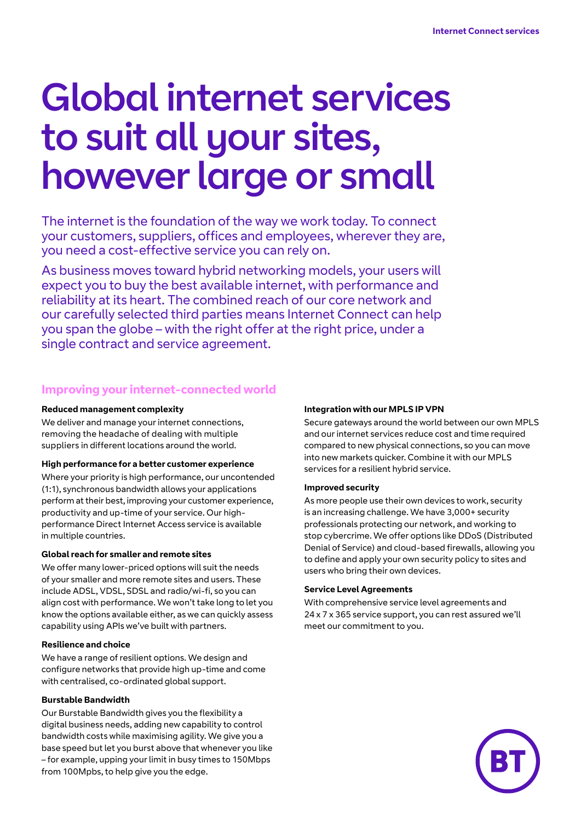# Global internet services to suit all your sites, however large or small

The internet is the foundation of the way we work today. To connect your customers, suppliers, offices and employees, wherever they are, you need a cost-effective service you can rely on.

As business moves toward hybrid networking models, your users will expect you to buy the best available internet, with performance and reliability at its heart. The combined reach of our core network and our carefully selected third parties means Internet Connect can help you span the globe – with the right offer at the right price, under a single contract and service agreement.

# **Improving your internet-connected world**

#### **Reduced management complexity**

We deliver and manage your internet connections, removing the headache of dealing with multiple suppliers in different locations around the world.

#### **High performance for a better customer experience**

Where your priority is high performance, our uncontended (1:1), synchronous bandwidth allows your applications perform at their best, improving your customer experience, productivity and up-time of your service. Our highperformance Direct Internet Access service is available in multiple countries.

#### **Global reach for smaller and remote sites**

We offer many lower-priced options will suit the needs of your smaller and more remote sites and users. These include ADSL, VDSL, SDSL and radio/wi-fi, so you can align cost with performance. We won't take long to let you know the options available either, as we can quickly assess capability using APIs we've built with partners.

#### **Resilience and choice**

We have a range of resilient options. We design and configure networks that provide high up-time and come with centralised, co-ordinated global support.

#### **Burstable Bandwidth**

Our Burstable Bandwidth gives you the flexibility a digital business needs, adding new capability to control bandwidth costs while maximising agility. We give you a base speed but let you burst above that whenever you like – for example, upping your limit in busy times to 150Mbps from 100Mpbs, to help give you the edge.

#### **Integration with our MPLS IP VPN**

Secure gateways around the world between our own MPLS and our internet services reduce cost and time required compared to new physical connections, so you can move into new markets quicker. Combine it with our MPLS services for a resilient hybrid service.

#### **Improved security**

As more people use their own devices to work, security is an increasing challenge. We have 3,000+ security professionals protecting our network, and working to stop cybercrime. We offer options like DDoS (Distributed Denial of Service) and cloud-based firewalls, allowing you to define and apply your own security policy to sites and users who bring their own devices.

#### **Service Level Agreements**

With comprehensive service level agreements and 24 x 7 x 365 service support, you can rest assured we'll meet our commitment to you.